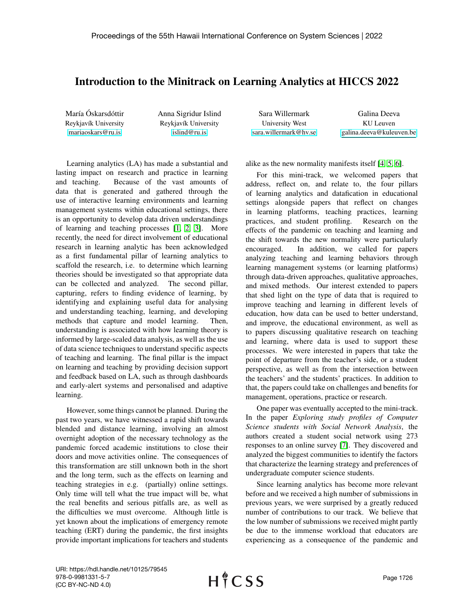## Introduction to the Minitrack on Learning Analytics at HICCS 2022

María Óskarsdóttir Reykjavík University [mariaoskars@ru.is](mailto:mariaoskars@ru.is)

Anna Sigridur Islind Reykjavík University [islind@ru.is](mailto:islind@ru.is)

| Sara Willermark       | Galina Deeva             |
|-----------------------|--------------------------|
| University West       | KU Leuven                |
| sara.willermark@hv.se | galina.deeva@kuleuven.be |

Learning analytics (LA) has made a substantial and lasting impact on research and practice in learning and teaching. Because of the vast amounts of data that is generated and gathered through the use of interactive learning environments and learning management systems within educational settings, there is an opportunity to develop data driven understandings of learning and teaching processes [\[1,](#page-1-0) [2,](#page-1-1) [3\]](#page-1-2). More recently, the need for direct involvement of educational research in learning analytic has been acknowledged as a first fundamental pillar of learning analytics to scaffold the research, i.e. to determine which learning theories should be investigated so that appropriate data can be collected and analyzed. The second pillar, capturing, refers to finding evidence of learning, by identifying and explaining useful data for analysing and understanding teaching, learning, and developing methods that capture and model learning. Then, understanding is associated with how learning theory is informed by large-scaled data analysis, as well as the use of data science techniques to understand specific aspects of teaching and learning. The final pillar is the impact on learning and teaching by providing decision support and feedback based on LA, such as through dashboards and early-alert systems and personalised and adaptive learning.

However, some things cannot be planned. During the past two years, we have witnessed a rapid shift towards blended and distance learning, involving an almost overnight adoption of the necessary technology as the pandemic forced academic institutions to close their doors and move activities online. The consequences of this transformation are still unknown both in the short and the long term, such as the effects on learning and teaching strategies in e.g. (partially) online settings. Only time will tell what the true impact will be, what the real benefits and serious pitfalls are, as well as the difficulties we must overcome. Although little is yet known about the implications of emergency remote teaching (ERT) during the pandemic, the first insights provide important implications for teachers and students

alike as the new normality manifests itself [\[4,](#page-1-3) [5,](#page-1-4) [6\]](#page-1-5).

For this mini-track, we welcomed papers that address, reflect on, and relate to, the four pillars of learning analytics and datafication in educational settings alongside papers that reflect on changes in learning platforms, teaching practices, learning practices, and student profiling. Research on the effects of the pandemic on teaching and learning and the shift towards the new normality were particularly encouraged. In addition, we called for papers analyzing teaching and learning behaviors through learning management systems (or learning platforms) through data-driven approaches, qualitative approaches, and mixed methods. Our interest extended to papers that shed light on the type of data that is required to improve teaching and learning in different levels of education, how data can be used to better understand, and improve, the educational environment, as well as to papers discussing qualitative research on teaching and learning, where data is used to support these processes. We were interested in papers that take the point of departure from the teacher's side, or a student perspective, as well as from the intersection between the teachers' and the students' practices. In addition to that, the papers could take on challenges and benefits for management, operations, practice or research.

One paper was eventually accepted to the mini-track. In the paper *Exploring study profiles of Computer Science students with Social Network Analysis*, the authors created a student social network using 273 responses to an online survey [\[7\]](#page-1-6). They discovered and analyzed the biggest communities to identify the factors that characterize the learning strategy and preferences of undergraduate computer science students.

Since learning analytics has become more relevant before and we received a high number of submissions in previous years, we were surprised by a greatly reduced number of contributions to our track. We believe that the low number of submissions we received might partly be due to the immense workload that educators are experiencing as a consequence of the pandemic and

URI: https://hdl.handle.net/10125/79545 978-0-9981331-5-7 (CC BY-NC-ND 4.0)